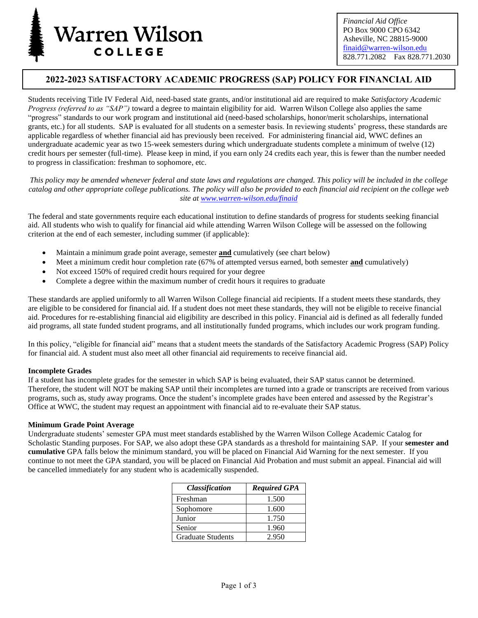

*Financial Aid Office* PO Box 9000 CPO 6342 Asheville, NC 28815-9000 [finaid@warren-wilson.edu](mailto:finaid@warren-wilson.edu) 828.771.2082 Fax 828.771.2030

# **2022-2023 SATISFACTORY ACADEMIC PROGRESS (SAP) POLICY FOR FINANCIAL AID**

Students receiving Title IV Federal Aid, need-based state grants, and/or institutional aid are required to make *Satisfactory Academic Progress (referred to as "SAP")* toward a degree to maintain eligibility for aid. Warren Wilson College also applies the same "progress" standards to our work program and institutional aid (need-based scholarships, honor/merit scholarships, international grants, etc.) for all students. SAP is evaluated for all students on a semester basis. In reviewing students' progress, these standards are applicable regardless of whether financial aid has previously been received. For administering financial aid, WWC defines an undergraduate academic year as two 15-week semesters during which undergraduate students complete a minimum of twelve (12) credit hours per semester (full-time). Please keep in mind, if you earn only 24 credits each year, this is fewer than the number needed to progress in classification: freshman to sophomore, etc.

*This policy may be amended whenever federal and state laws and regulations are changed. This policy will be included in the college catalog and other appropriate college publications. The policy will also be provided to each financial aid recipient on the college web site at [www.warren-wilson.edu/finaid](http://www.warren-wilson.edu/finaid)*

The federal and state governments require each educational institution to define standards of progress for students seeking financial aid. All students who wish to qualify for financial aid while attending Warren Wilson College will be assessed on the following criterion at the end of each semester, including summer (if applicable):

- Maintain a minimum grade point average, semester **and** cumulatively (see chart below)
- Meet a minimum credit hour completion rate (67% of attempted versus earned, both semester **and** cumulatively)
- Not exceed 150% of required credit hours required for your degree
- Complete a degree within the maximum number of credit hours it requires to graduate

These standards are applied uniformly to all Warren Wilson College financial aid recipients. If a student meets these standards, they are eligible to be considered for financial aid. If a student does not meet these standards, they will not be eligible to receive financial aid. Procedures for re-establishing financial aid eligibility are described in this policy. Financial aid is defined as all federally funded aid programs, all state funded student programs, and all institutionally funded programs, which includes our work program funding.

In this policy, "eligible for financial aid" means that a student meets the standards of the Satisfactory Academic Progress (SAP) Policy for financial aid. A student must also meet all other financial aid requirements to receive financial aid.

#### **Incomplete Grades**

If a student has incomplete grades for the semester in which SAP is being evaluated, their SAP status cannot be determined. Therefore, the student will NOT be making SAP until their incompletes are turned into a grade or transcripts are received from various programs, such as, study away programs. Once the student's incomplete grades have been entered and assessed by the Registrar's Office at WWC, the student may request an appointment with financial aid to re-evaluate their SAP status.

#### **Minimum Grade Point Average**

Undergraduate students' semester GPA must meet standards established by the Warren Wilson College Academic Catalog for Scholastic Standing purposes. For SAP, we also adopt these GPA standards as a threshold for maintaining SAP. If your **semester and cumulative** GPA falls below the minimum standard, you will be placed on Financial Aid Warning for the next semester. If you continue to not meet the GPA standard, you will be placed on Financial Aid Probation and must submit an appeal. Financial aid will be cancelled immediately for any student who is academically suspended.

| <b>Classification</b>    | <b>Required GPA</b> |
|--------------------------|---------------------|
| Freshman                 | 1.500               |
| Sophomore                | 1.600               |
| Junior                   | 1.750               |
| Senior                   | 1.960               |
| <b>Graduate Students</b> | 2.950               |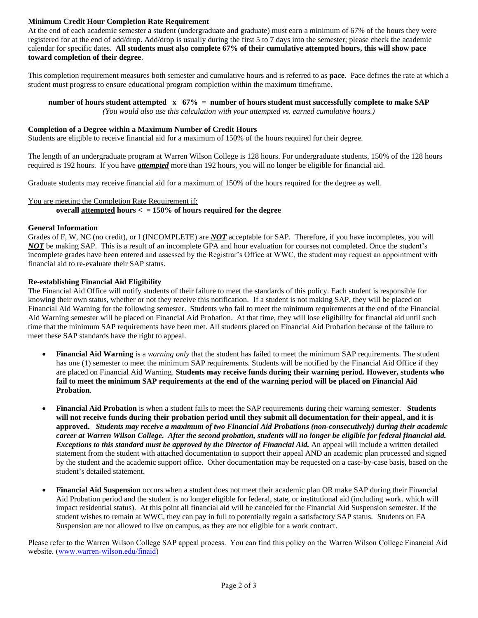# **Minimum Credit Hour Completion Rate Requirement**

At the end of each academic semester a student (undergraduate and graduate) must earn a minimum of 67% of the hours they were registered for at the end of add/drop. Add/drop is usually during the first 5 to 7 days into the semester; please check the academic calendar for specific dates. **All students must also complete 67% of their cumulative attempted hours, this will show pace toward completion of their degree**.

This completion requirement measures both semester and cumulative hours and is referred to as **pace**. Pace defines the rate at which a student must progress to ensure educational program completion within the maximum timeframe.

# **number of hours student attempted x 67% = number of hours student must successfully complete to make SAP**

*(You would also use this calculation with your attempted vs. earned cumulative hours.)*

# **Completion of a Degree within a Maximum Number of Credit Hours**

Students are eligible to receive financial aid for a maximum of 150% of the hours required for their degree.

The length of an undergraduate program at Warren Wilson College is 128 hours. For undergraduate students, 150% of the 128 hours required is 192 hours. If you have *attempted* more than 192 hours, you will no longer be eligible for financial aid.

Graduate students may receive financial aid for a maximum of 150% of the hours required for the degree as well.

#### You are meeting the Completion Rate Requirement if: **overall attempted hours < = 150% of hours required for the degree**

#### **General Information**

Grades of F, W, NC (no credit), or I (INCOMPLETE) are *NOT* acceptable for SAP. Therefore, if you have incompletes, you will *NOT* be making SAP. This is a result of an incomplete GPA and hour evaluation for courses not completed. Once the student's incomplete grades have been entered and assessed by the Registrar's Office at WWC, the student may request an appointment with financial aid to re-evaluate their SAP status.

#### **Re-establishing Financial Aid Eligibility**

The Financial Aid Office will notify students of their failure to meet the standards of this policy. Each student is responsible for knowing their own status, whether or not they receive this notification. If a student is not making SAP, they will be placed on Financial Aid Warning for the following semester. Students who fail to meet the minimum requirements at the end of the Financial Aid Warning semester will be placed on Financial Aid Probation. At that time, they will lose eligibility for financial aid until such time that the minimum SAP requirements have been met. All students placed on Financial Aid Probation because of the failure to meet these SAP standards have the right to appeal.

- **Financial Aid Warning** is a *warning only* that the student has failed to meet the minimum SAP requirements. The student has one (1) semester to meet the minimum SAP requirements. Students will be notified by the Financial Aid Office if they are placed on Financial Aid Warning. **Students may receive funds during their warning period. However, students who fail to meet the minimum SAP requirements at the end of the warning period will be placed on Financial Aid Probation**.
- **Financial Aid Probation** is when a student fails to meet the SAP requirements during their warning semester. **Students will not receive funds during their probation period until they submit all documentation for their appeal, and it is approved.** *Students may receive a maximum of two Financial Aid Probations (non-consecutively) during their academic career at Warren Wilson College. After the second probation, students will no longer be eligible for federal financial aid. Exceptions to this standard must be approved by the Director of Financial Aid.* An appeal will include a written detailed statement from the student with attached documentation to support their appeal AND an academic plan processed and signed by the student and the academic support office. Other documentation may be requested on a case-by-case basis, based on the student's detailed statement.
- **Financial Aid Suspension** occurs when a student does not meet their academic plan OR make SAP during their Financial Aid Probation period and the student is no longer eligible for federal, state, or institutional aid (including work. which will impact residential status). At this point all financial aid will be canceled for the Financial Aid Suspension semester. If the student wishes to remain at WWC, they can pay in full to potentially regain a satisfactory SAP status. Students on FA Suspension are not allowed to live on campus, as they are not eligible for a work contract.

Please refer to the Warren Wilson College SAP appeal process. You can find this policy on the Warren Wilson College Financial Aid website. [\(www.warren-wilson.edu/finaid\)](../SAP%201718/www.warren-wilson.edu/finaid)